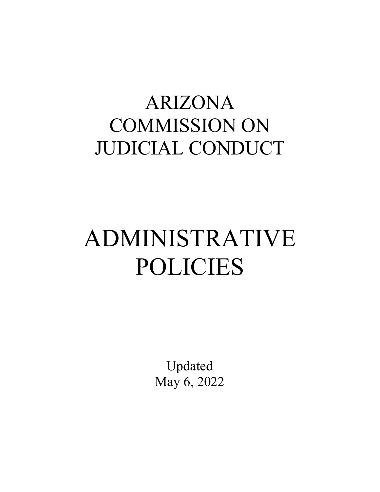## ARIZONA COMMISSION ON JUDICIAL CONDUCT

# ADMINISTRATIVE POLICIES

Updated May 6, 2022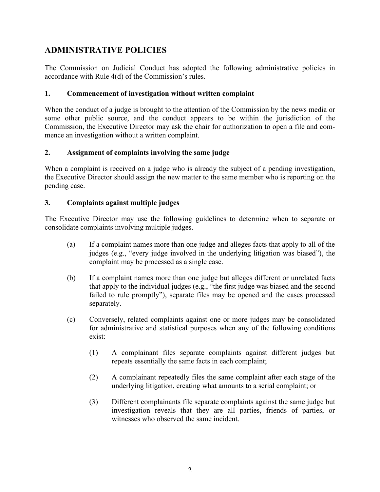### **ADMINISTRATIVE POLICIES**

The Commission on Judicial Conduct has adopted the following administrative policies in accordance with Rule 4(d) of the Commission's rules.

#### **1. Commencement of investigation without written complaint**

When the conduct of a judge is brought to the attention of the Commission by the news media or some other public source, and the conduct appears to be within the jurisdiction of the Commission, the Executive Director may ask the chair for authorization to open a file and commence an investigation without a written complaint.

#### **2. Assignment of complaints involving the same judge**

When a complaint is received on a judge who is already the subject of a pending investigation, the Executive Director should assign the new matter to the same member who is reporting on the pending case.

#### **3. Complaints against multiple judges**

The Executive Director may use the following guidelines to determine when to separate or consolidate complaints involving multiple judges.

- (a) If a complaint names more than one judge and alleges facts that apply to all of the judges (e.g., "every judge involved in the underlying litigation was biased"), the complaint may be processed as a single case.
- (b) If a complaint names more than one judge but alleges different or unrelated facts that apply to the individual judges (e.g., "the first judge was biased and the second failed to rule promptly"), separate files may be opened and the cases processed separately.
- (c) Conversely, related complaints against one or more judges may be consolidated for administrative and statistical purposes when any of the following conditions exist:
	- (1) A complainant files separate complaints against different judges but repeats essentially the same facts in each complaint;
	- (2) A complainant repeatedly files the same complaint after each stage of the underlying litigation, creating what amounts to a serial complaint; or
	- (3) Different complainants file separate complaints against the same judge but investigation reveals that they are all parties, friends of parties, or witnesses who observed the same incident.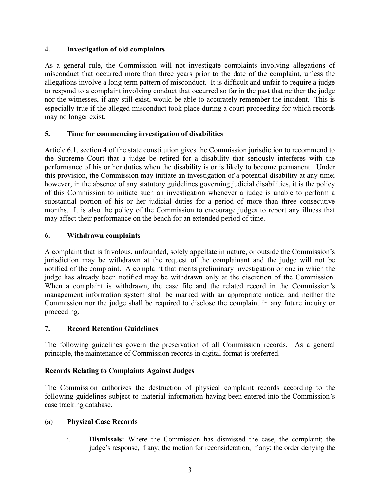#### **4. Investigation of old complaints**

As a general rule, the Commission will not investigate complaints involving allegations of misconduct that occurred more than three years prior to the date of the complaint, unless the allegations involve a long-term pattern of misconduct. It is difficult and unfair to require a judge to respond to a complaint involving conduct that occurred so far in the past that neither the judge nor the witnesses, if any still exist, would be able to accurately remember the incident. This is especially true if the alleged misconduct took place during a court proceeding for which records may no longer exist.

#### **5. Time for commencing investigation of disabilities**

Article 6.1, section 4 of the state constitution gives the Commission jurisdiction to recommend to the Supreme Court that a judge be retired for a disability that seriously interferes with the performance of his or her duties when the disability is or is likely to become permanent. Under this provision, the Commission may initiate an investigation of a potential disability at any time; however, in the absence of any statutory guidelines governing judicial disabilities, it is the policy of this Commission to initiate such an investigation whenever a judge is unable to perform a substantial portion of his or her judicial duties for a period of more than three consecutive months. It is also the policy of the Commission to encourage judges to report any illness that may affect their performance on the bench for an extended period of time.

#### **6. Withdrawn complaints**

A complaint that is frivolous, unfounded, solely appellate in nature, or outside the Commission's jurisdiction may be withdrawn at the request of the complainant and the judge will not be notified of the complaint. A complaint that merits preliminary investigation or one in which the judge has already been notified may be withdrawn only at the discretion of the Commission. When a complaint is withdrawn, the case file and the related record in the Commission's management information system shall be marked with an appropriate notice, and neither the Commission nor the judge shall be required to disclose the complaint in any future inquiry or proceeding.

#### **7. Record Retention Guidelines**

The following guidelines govern the preservation of all Commission records. As a general principle, the maintenance of Commission records in digital format is preferred.

#### **Records Relating to Complaints Against Judges**

The Commission authorizes the destruction of physical complaint records according to the following guidelines subject to material information having been entered into the Commission's case tracking database.

#### (a) **Physical Case Records**

i. **Dismissals:** Where the Commission has dismissed the case, the complaint; the judge's response, if any; the motion for reconsideration, if any; the order denying the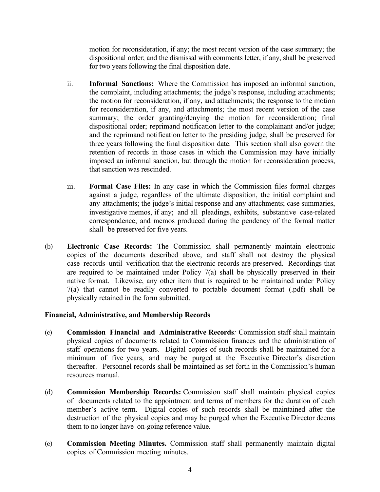motion for reconsideration, if any; the most recent version of the case summary; the dispositional order; and the dismissal with comments letter, if any, shall be preserved for two years following the final disposition date.

- ii. **Informal Sanctions:** Where the Commission has imposed an informal sanction, the complaint, including attachments; the judge's response, including attachments; the motion for reconsideration, if any, and attachments; the response to the motion for reconsideration, if any, and attachments; the most recent version of the case summary; the order granting/denying the motion for reconsideration; final dispositional order; reprimand notification letter to the complainant and/or judge; and the reprimand notification letter to the presiding judge, shall be preserved for three years following the final disposition date. This section shall also govern the retention of records in those cases in which the Commission may have initially imposed an informal sanction, but through the motion for reconsideration process, that sanction was rescinded.
- iii. **Formal Case Files:** In any case in which the Commission files formal charges against a judge, regardless of the ultimate disposition, the initial complaint and any attachments; the judge's initial response and any attachments; case summaries, investigative memos, if any; and all pleadings, exhibits, substantive case-related correspondence, and memos produced during the pendency of the formal matter shall be preserved for five years.
- (b) **Electronic Case Records:** The Commission shall permanently maintain electronic copies of the documents described above, and staff shall not destroy the physical case records until verification that the electronic records are preserved. Recordings that are required to be maintained under Policy 7(a) shall be physically preserved in their native format. Likewise, any other item that is required to be maintained under Policy 7(a) that cannot be readily converted to portable document format (.pdf) shall be physically retained in the form submitted.

#### **Financial, Administrative, and Membership Records**

- (c) **Commission Financial and Administrative Records***:* Commission staff shall maintain physical copies of documents related to Commission finances and the administration of staff operations for two years. Digital copies of such records shall be maintained for a minimum of five years, and may be purged at the Executive Director's discretion thereafter. Personnel records shall be maintained as set forth in the Commission's human resources manual.
- (d) **Commission Membership Records:** Commission staff shall maintain physical copies of documents related to the appointment and terms of members for the duration of each member's active term. Digital copies of such records shall be maintained after the destruction of the physical copies and may be purged when the Executive Director deems them to no longer have on-going reference value.
- (e) **Commission Meeting Minutes.** Commission staff shall permanently maintain digital copies of Commission meeting minutes.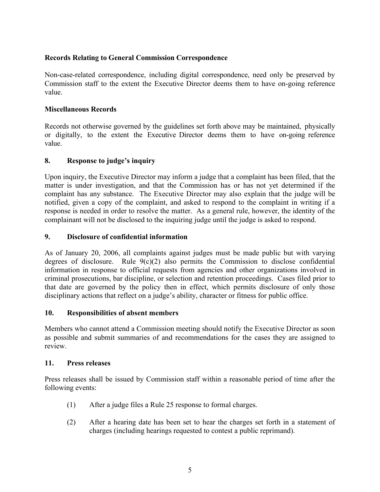#### **Records Relating to General Commission Correspondence**

Non-case-related correspondence, including digital correspondence, need only be preserved by Commission staff to the extent the Executive Director deems them to have on-going reference value.

#### **Miscellaneous Records**

Records not otherwise governed by the guidelines set forth above may be maintained, physically or digitally, to the extent the Executive Director deems them to have on-going reference value.

#### **8. Response to judge's inquiry**

Upon inquiry, the Executive Director may inform a judge that a complaint has been filed, that the matter is under investigation, and that the Commission has or has not yet determined if the complaint has any substance. The Executive Director may also explain that the judge will be notified, given a copy of the complaint, and asked to respond to the complaint in writing if a response is needed in order to resolve the matter. As a general rule, however, the identity of the complainant will not be disclosed to the inquiring judge until the judge is asked to respond.

#### **9. Disclosure of confidential information**

As of January 20, 2006, all complaints against judges must be made public but with varying degrees of disclosure. Rule  $9(c)(2)$  also permits the Commission to disclose confidential information in response to official requests from agencies and other organizations involved in criminal prosecutions, bar discipline, or selection and retention proceedings. Cases filed prior to that date are governed by the policy then in effect, which permits disclosure of only those disciplinary actions that reflect on a judge's ability, character or fitness for public office.

#### **10. Responsibilities of absent members**

Members who cannot attend a Commission meeting should notify the Executive Director as soon as possible and submit summaries of and recommendations for the cases they are assigned to review.

#### **11. Press releases**

Press releases shall be issued by Commission staff within a reasonable period of time after the following events:

- (1) After a judge files a Rule 25 response to formal charges.
- (2) After a hearing date has been set to hear the charges set forth in a statement of charges (including hearings requested to contest a public reprimand).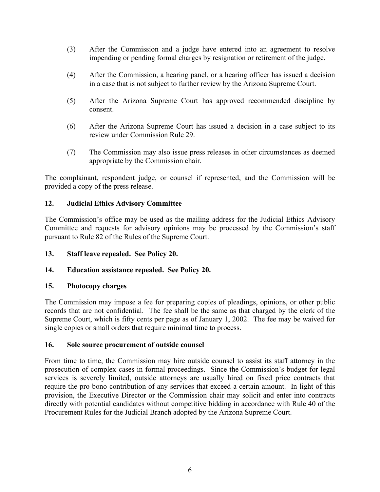- (3) After the Commission and a judge have entered into an agreement to resolve impending or pending formal charges by resignation or retirement of the judge.
- (4) After the Commission, a hearing panel, or a hearing officer has issued a decision in a case that is not subject to further review by the Arizona Supreme Court.
- (5) After the Arizona Supreme Court has approved recommended discipline by consent.
- (6) After the Arizona Supreme Court has issued a decision in a case subject to its review under Commission Rule 29.
- (7) The Commission may also issue press releases in other circumstances as deemed appropriate by the Commission chair.

The complainant, respondent judge, or counsel if represented, and the Commission will be provided a copy of the press release.

#### **12. Judicial Ethics Advisory Committee**

The Commission's office may be used as the mailing address for the Judicial Ethics Advisory Committee and requests for advisory opinions may be processed by the Commission's staff pursuant to Rule 82 of the Rules of the Supreme Court.

- **13. Staff leave repealed. See Policy 20.**
- **14. Education assistance repealed. See Policy 20.**

#### **15. Photocopy charges**

The Commission may impose a fee for preparing copies of pleadings, opinions, or other public records that are not confidential. The fee shall be the same as that charged by the clerk of the Supreme Court, which is fifty cents per page as of January 1, 2002. The fee may be waived for single copies or small orders that require minimal time to process.

#### **16. Sole source procurement of outside counsel**

From time to time, the Commission may hire outside counsel to assist its staff attorney in the prosecution of complex cases in formal proceedings. Since the Commission's budget for legal services is severely limited, outside attorneys are usually hired on fixed price contracts that require the pro bono contribution of any services that exceed a certain amount. In light of this provision, the Executive Director or the Commission chair may solicit and enter into contracts directly with potential candidates without competitive bidding in accordance with Rule 40 of the Procurement Rules for the Judicial Branch adopted by the Arizona Supreme Court.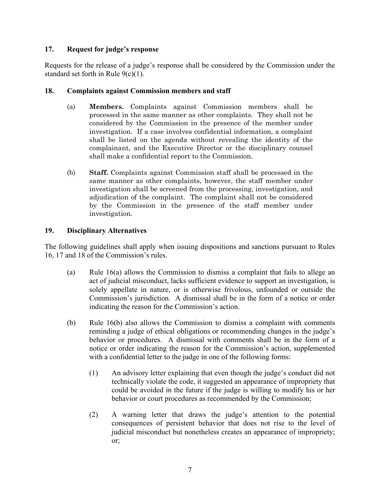#### **17. Request for judge's response**

Requests for the release of a judge's response shall be considered by the Commission under the standard set forth in Rule  $9(c)(1)$ .

#### **18. Complaints against Commission members and staff**

- (a) **Members.** Complaints against Commission members shall be processed in the same manner as other complaints. They shall not be considered by the Commission in the presence of the member under investigation. If a case involves confidential information, a complaint shall be listed on the agenda without revealing the identity of the complainant, and the Executive Director or the disciplinary counsel shall make a confidential report to the Commission.
- (b) **Staff.** Complaints against Commission staff shall be processed in the same manner as other complaints, however, the staff member under investigation shall be screened from the processing, investigation, and adjudication of the complaint. The complaint shall not be considered by the Commission in the presence of the staff member under investigation.

#### **19. Disciplinary Alternatives**

The following guidelines shall apply when issuing dispositions and sanctions pursuant to Rules 16, 17 and 18 of the Commission's rules.

- (a) Rule 16(a) allows the Commission to dismiss a complaint that fails to allege an act of judicial misconduct, lacks sufficient evidence to support an investigation, is solely appellate in nature, or is otherwise frivolous, unfounded or outside the Commission's jurisdiction. A dismissal shall be in the form of a notice or order indicating the reason for the Commission's action.
- (b) Rule 16(b) also allows the Commission to dismiss a complaint with comments reminding a judge of ethical obligations or recommending changes in the judge's behavior or procedures. A dismissal with comments shall be in the form of a notice or order indicating the reason for the Commission's action, supplemented with a confidential letter to the judge in one of the following forms:
	- (1) An advisory letter explaining that even though the judge's conduct did not technically violate the code, it suggested an appearance of impropriety that could be avoided in the future if the judge is willing to modify his or her behavior or court procedures as recommended by the Commission;
	- (2) A warning letter that draws the judge's attention to the potential consequences of persistent behavior that does not rise to the level of judicial misconduct but nonetheless creates an appearance of impropriety; or;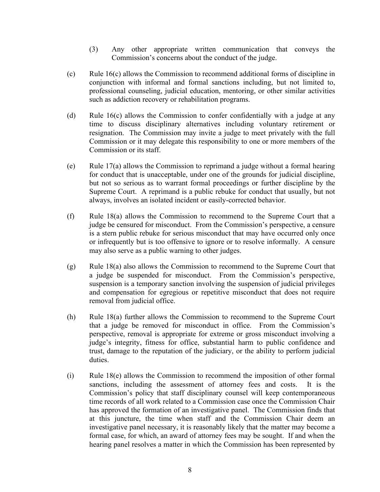- (3) Any other appropriate written communication that conveys the Commission's concerns about the conduct of the judge.
- $(c)$  Rule 16(c) allows the Commission to recommend additional forms of discipline in conjunction with informal and formal sanctions including, but not limited to, professional counseling, judicial education, mentoring, or other similar activities such as addiction recovery or rehabilitation programs.
- (d) Rule 16(c) allows the Commission to confer confidentially with a judge at any time to discuss disciplinary alternatives including voluntary retirement or resignation. The Commission may invite a judge to meet privately with the full Commission or it may delegate this responsibility to one or more members of the Commission or its staff.
- (e) Rule  $17(a)$  allows the Commission to reprimand a judge without a formal hearing for conduct that is unacceptable, under one of the grounds for judicial discipline, but not so serious as to warrant formal proceedings or further discipline by the Supreme Court. A reprimand is a public rebuke for conduct that usually, but not always, involves an isolated incident or easily-corrected behavior.
- (f) Rule 18(a) allows the Commission to recommend to the Supreme Court that a judge be censured for misconduct. From the Commission's perspective, a censure is a stern public rebuke for serious misconduct that may have occurred only once or infrequently but is too offensive to ignore or to resolve informally. A censure may also serve as a public warning to other judges.
- (g) Rule 18(a) also allows the Commission to recommend to the Supreme Court that a judge be suspended for misconduct. From the Commission's perspective, suspension is a temporary sanction involving the suspension of judicial privileges and compensation for egregious or repetitive misconduct that does not require removal from judicial office.
- (h) Rule 18(a) further allows the Commission to recommend to the Supreme Court that a judge be removed for misconduct in office. From the Commission's perspective, removal is appropriate for extreme or gross misconduct involving a judge's integrity, fitness for office, substantial harm to public confidence and trust, damage to the reputation of the judiciary, or the ability to perform judicial duties.
- (i) Rule 18(e) allows the Commission to recommend the imposition of other formal sanctions, including the assessment of attorney fees and costs. It is the Commission's policy that staff disciplinary counsel will keep contemporaneous time records of all work related to a Commission case once the Commission Chair has approved the formation of an investigative panel. The Commission finds that at this juncture, the time when staff and the Commission Chair deem an investigative panel necessary, it is reasonably likely that the matter may become a formal case, for which, an award of attorney fees may be sought. If and when the hearing panel resolves a matter in which the Commission has been represented by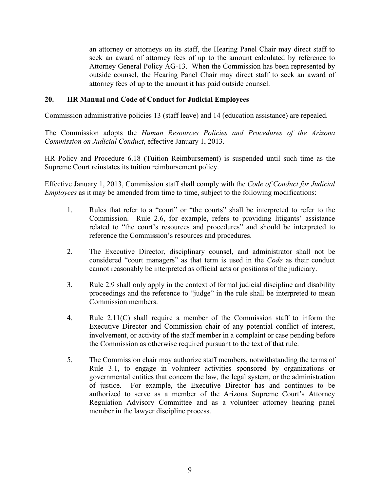an attorney or attorneys on its staff, the Hearing Panel Chair may direct staff to seek an award of attorney fees of up to the amount calculated by reference to Attorney General Policy AG-13. When the Commission has been represented by outside counsel, the Hearing Panel Chair may direct staff to seek an award of attorney fees of up to the amount it has paid outside counsel.

#### **20. HR Manual and Code of Conduct for Judicial Employees**

Commission administrative policies 13 (staff leave) and 14 (education assistance) are repealed.

The Commission adopts the *Human Resources Policies and Procedures of the Arizona Commission on Judicial Conduct*, effective January 1, 2013.

HR Policy and Procedure 6.18 (Tuition Reimbursement) is suspended until such time as the Supreme Court reinstates its tuition reimbursement policy.

Effective January 1, 2013, Commission staff shall comply with the *Code of Conduct for Judicial Employees* as it may be amended from time to time, subject to the following modifications:

- 1. Rules that refer to a "court" or "the courts" shall be interpreted to refer to the Commission. Rule 2.6, for example, refers to providing litigants' assistance related to "the court's resources and procedures" and should be interpreted to reference the Commission's resources and procedures.
- 2. The Executive Director, disciplinary counsel, and administrator shall not be considered "court managers" as that term is used in the *Code* as their conduct cannot reasonably be interpreted as official acts or positions of the judiciary.
- 3. Rule 2.9 shall only apply in the context of formal judicial discipline and disability proceedings and the reference to "judge" in the rule shall be interpreted to mean Commission members.
- 4. Rule 2.11(C) shall require a member of the Commission staff to inform the Executive Director and Commission chair of any potential conflict of interest, involvement, or activity of the staff member in a complaint or case pending before the Commission as otherwise required pursuant to the text of that rule.
- 5. The Commission chair may authorize staff members, notwithstanding the terms of Rule 3.1, to engage in volunteer activities sponsored by organizations or governmental entities that concern the law, the legal system, or the administration of justice. For example, the Executive Director has and continues to be authorized to serve as a member of the Arizona Supreme Court's Attorney Regulation Advisory Committee and as a volunteer attorney hearing panel member in the lawyer discipline process.